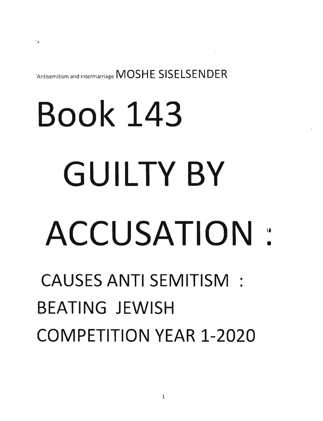`Antisemitism and intermarriage MOSHE SISELSENDER

## **Book 143 GUILTY BY ACCUSATION** <sup>~</sup>

## **CAUSES ANTI SEMITISM: BEATING JEWISH COMPETITION YEAR 1-2020**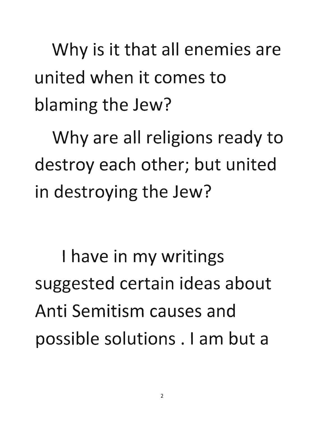Why is it that all enemies are united when it comes to blaming the Jew?

Why are all religions ready to destroy each other; but united in destroying the Jew?

I have in my writings suggested certain ideas about Anti Semitism causes and possible solutions. I am but a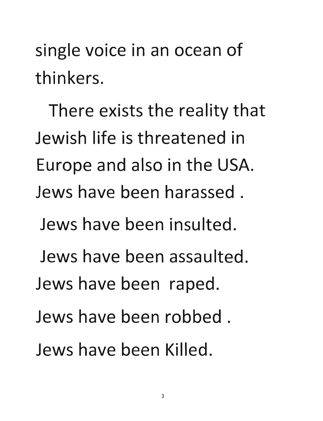single voice in an ocean of **thinkers.** 

**There exists the reality that Jewish life is threatened in**  Europe and also in the USA. **Jews have been harassed.** 

**Jews have been insulted.** 

**Jews have been assaulted.** 

Jews have been raped.

**Jews have been robbed.** 

**Jews have been Killed.**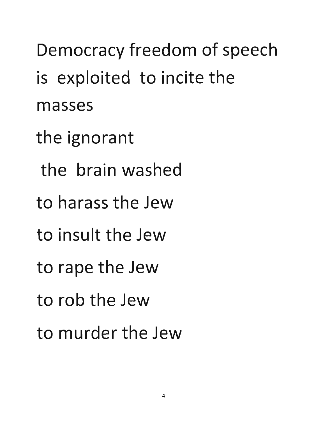Democracy freedom of speech is exploited to incite the masses the ignorant the brain washed to harass the Jew to insult the Jew to rape the Jew to rob the Jew to murder the Jew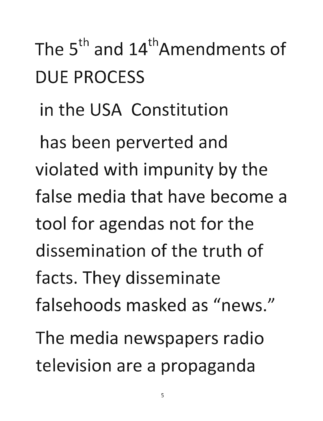## The 5<sup>th</sup> and 14<sup>th</sup>Amendments of DUE PROCESS

## in the USA Constitution

has been perverted and violated with impunity by the false media that have become a tool for agendas not for the dissemination of the truth of facts. They disseminate falsehoods masked as "news." The media newspapers radio television are a propaganda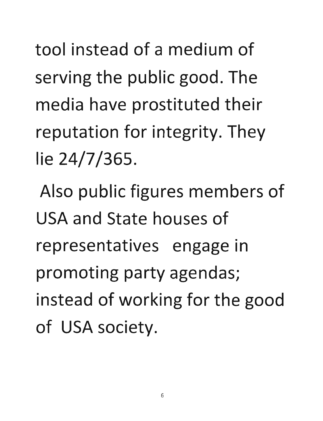**tool instead of a medium of**  serving the public good. The media have prostituted their **reputation for integrity. They lie** 24/7 **/365.** 

Also public figures members of USA **and State houses of representatives engage in promoting party agendas;**  instead of working for the good of USA society.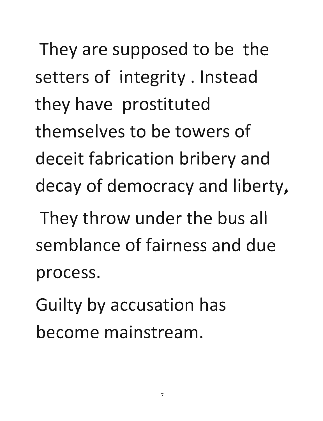They are supposed to be the setters of integrity. Instead they have prostituted themselves to be towers of deceit fabrication bribery and decay of democracy and liberty,

They throw under the bus all semblance of fairness and due process.

Guilty by accusation has become mainstream.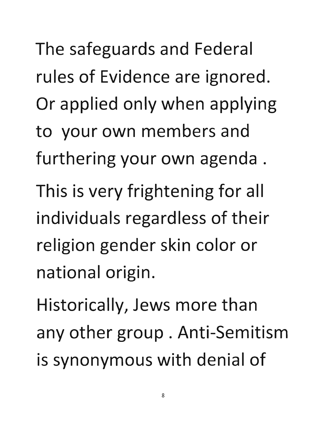**The safeguards and Federal rules of Evidence are ignored.**  Or applied only when applying **to your own members and furthering your own agenda.**  This is very frightening for all **individuals regardless of their religion gender skin color or national origin.** 

**Historically, Jews more than**  any other group. Anti-Semitism is synonymous with denial of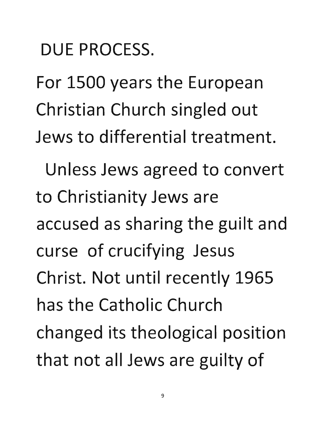DUE PROCESS.

For 1500 years the European Christian Church singled out Jews to differential treatment.

Unless Jews agreed to convert to Christianity Jews are accused as sharing the guilt and curse of crucifying Jesus Christ. Not until recently 1965 has the Catholic Church changed its theological position that not all Jews are guilty of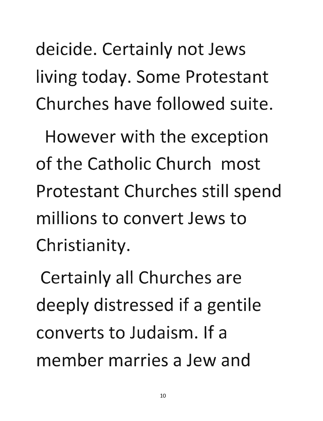deicide. Certainly not Jews living today. Some Protestant Churches have followed suite.

However with the exception of the Catholic Church most Protestant Churches still spend millions to convert Jews to Christianity.

Certainly all Churches are deeply distressed if a gentile converts to Judaism. If a member marries a Jew and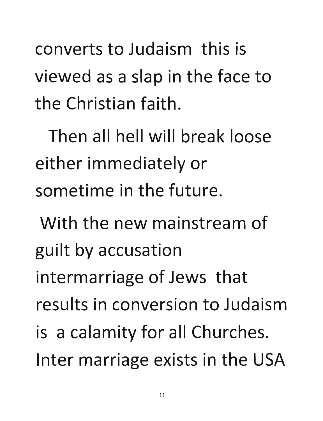converts to Judaism this is viewed as a slap in the face to the Christian faith.

Then all hell will break loose either immediately or sometime in the future.

With the new mainstream of guilt by accusation intermarriage of Jews that results in conversion to Judaism is a calamity for all Churches. Inter marriage exists in the USA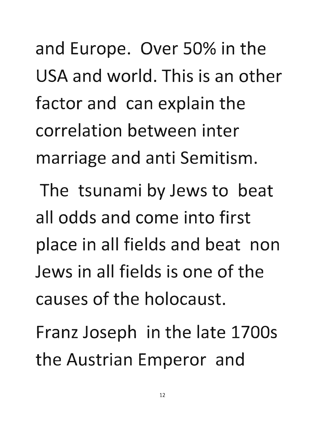**and Europe. Over** 50% **in the**  USA **and world. This is an other**  factor and can explain the **correlation between inter marriage and anti Semitism.** 

**The tsunami by Jews to beat all odds and come into first place in all fields and beat non Jews in all fields is one of the causes of the holocaust.** 

Franz Joseph in the late 17005 the Austrian Emperor and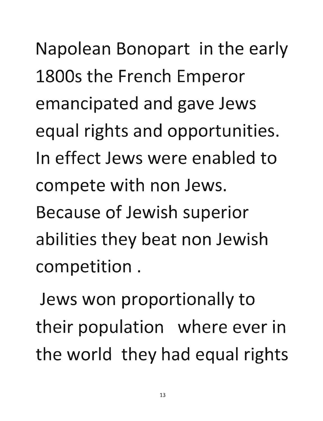Napolean Bonopart in the early 1800s the French Emperor emancipated and gave Jews equal rights and opportunities. In effect Jews were enabled to compete with non Jews. Because of Jewish superior abilities they beat non Jewish competition.

Jews won proportionally to their population where ever in the world they had equal rights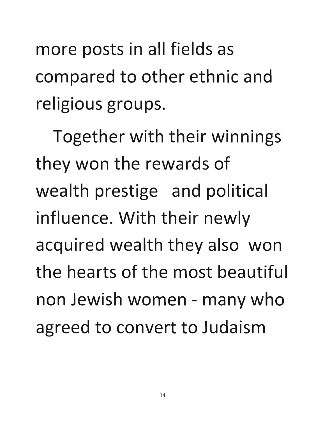more posts in all fields as **compared to other ethnic and**  religious groups.

**Together with their winnings**  they won the rewards of **wealth prestige and political influence. With their newly acquired wealth they also won the hearts of the most beautiful**  non Jewish women - many who agreed to convert to Judaism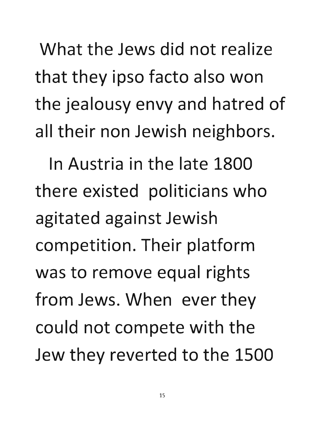What the Jews did not realize that they ipso facto also won the jealousy envy and hatred of all their non Jewish neighbors.

In Austria in the late 1800 there existed politicians who agitated against Jewish competition. Their platform was to remove equal rights from Jews. When ever they could not compete with the Jew they reverted to the 1500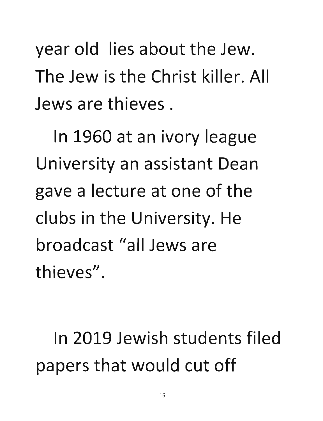year old lies about the Jew. The Jew is the Christ killer. All Jews are thieves.

In 1960 at an ivory league University an assistant Dean gave a lecture at one of the clubs in the University. He broadcast "all Jews are thieves".

In 2019 Jewish students filed papers that would cut off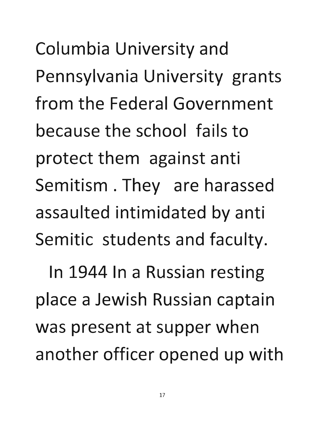Columbia University and Pennsylvania University grants from the Federal Government because the school fails to protect them against anti Semitism . They are harassed assaulted intimidated by anti Semitic students and faculty.

In 1944 In a Russian resting place a Jewish Russian captain was present at supper when another officer opened up with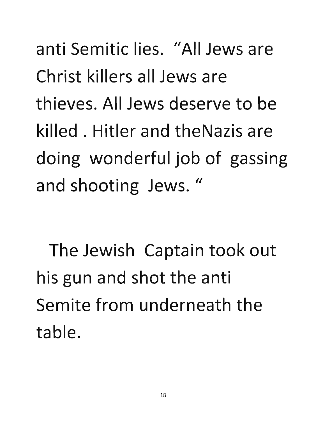anti Semitic lies. "All Jews are Christ killers all Jews are thieves. All Jews deserve to be killed. Hitler and theNazis are doing wonderful job of gassing and shooting Jews."

The Jewish Captain took out his gun and shot the anti Semite from underneath the table.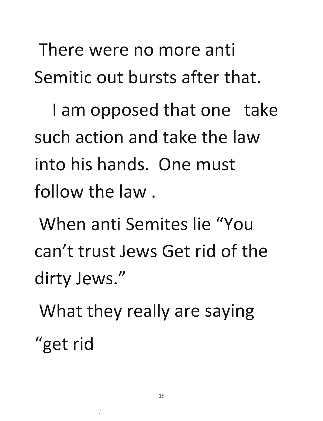There were no more anti Semitic out bursts after that.

I am opposed that one take such action and take the law into his hands. One must follow the law.

When anti Semites lie "You can't trust Jews Get rid of the dirty Jews."

What they really are saying "get rid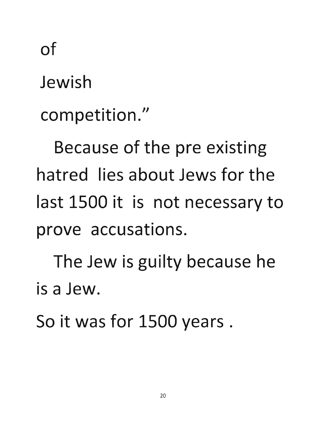**of** 

**Jewish** 

competition."

Because of the pre existing **hatred lies about Jews for the last 1500 it is not necessary to prove accusations.** 

The Jew is guilty because he **is a Jew.** 

So it was for 1500 years.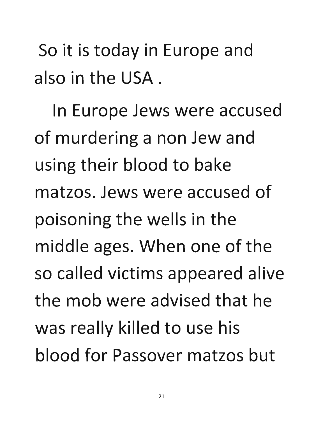So it is today in Europe and also in the USA.

In Europe Jews were accused of murdering a non Jew and using their blood to bake matzos. Jews were accused of poisoning the wells in the middle ages. When one of the so called victims appeared alive the mob were advised that he was really killed to use his blood for Passover matzos but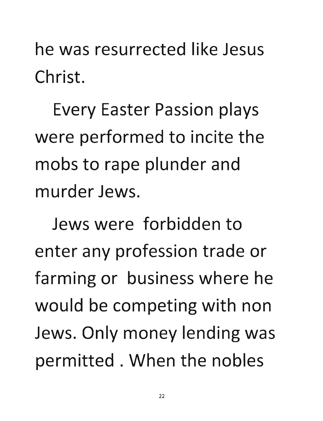**he was resurrected like Jesus Ch rist.** 

Every Easter Passion plays were performed to incite the mobs to rape plunder and **murder Jews.** 

**Jews were forbidden to enter any profession trade or farming or business where he**  would be competing with non Jews. Only money lending was permitted. When the nobles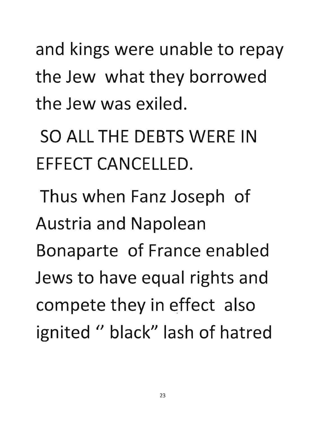and kings were unable to repay the Jew what they borrowed the Jew was exiled.

SO ALL THE DEBTS WERE IN EFFECT CANCELLED.

Thus when Fanz Joseph of Austria and Napolean Bonaparte of France enabled Jews to have equal rights and compete they in effect also ignited " black" lash of hatred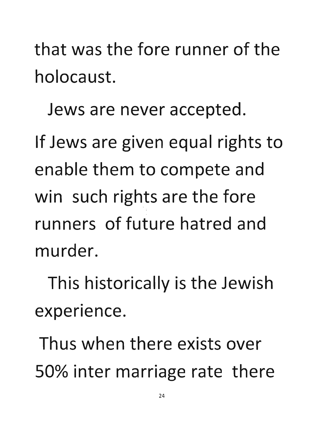**that was the fore runner of the holocaust.** 

**Jews are never accepted.** 

If Jews are given equal rights to **enable them to compete and**  win such rights are the fore **runners of future hatred and murder.** 

This historically is the Jewish • **experience.** 

**Thus when there exists over**  50% inter marriage rate there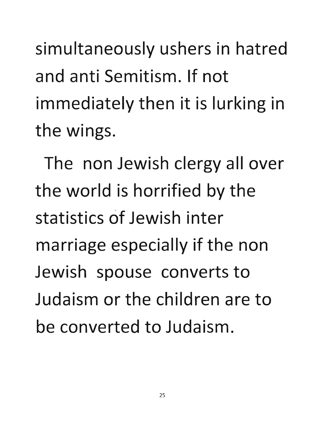simultaneously ushers in hatred and anti Semitism. If not immediately then it is lurking in the wings.

The non Jewish clergy all over the world is horrified by the statistics of Jewish inter marriage especially if the non Jewish spouse converts to Judaism or the children are to be converted to Judaism.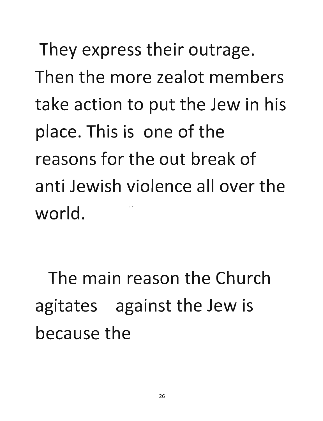They express their outrage. **Then the more zealot members**  take action to put the Jew in his **place. This is one of the reasons for the out break of anti Jewish violence allover the**  world.

**The main reason the Church**  agitates against the Jew is **because the**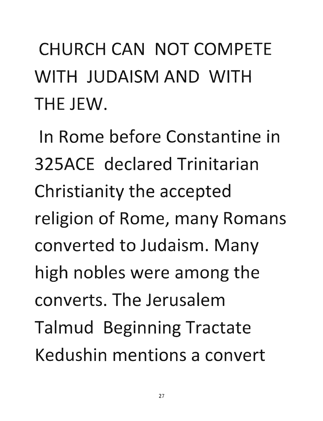CHURCH CAN NOT COMPETE WITH JUDAISM AND WITH THE JEW.

In Rome before Constantine in 325ACE declared Trinitarian Christianity the accepted religion of Rome, many Romans converted to Judaism. Many high nobles were among the converts. The Jerusalem Talmud Beginning Tractate Kedushin mentions a convert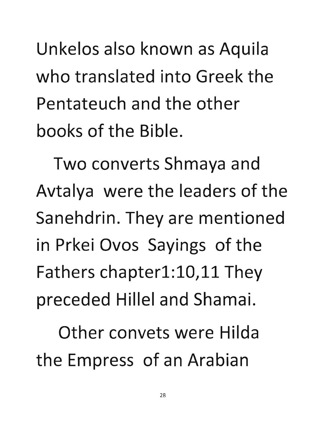**Unkelos also known as Aquila who translated into Greek the Pentateuch and the other books of the Bible.** 

Two **converts Shmaya and**  Avtalya were the leaders of the **Sanehdrin. They are mentioned in Prkei Ovos Sayings of the Fathers chapterl:l0,11 They**  preceded Hillel and Shamai.

**Other convets were Hilda**  the Empress of an Arabian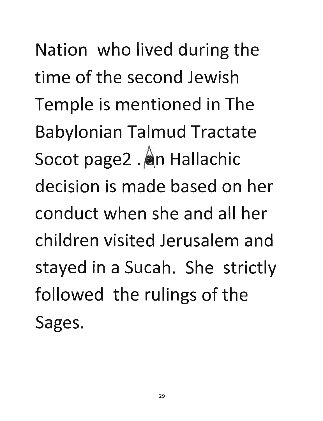Nation who lived during the **time of the second Jewish**  Temple is mentioned in The **Babylonian Talmud Tractate**  Socot page2 . An Hallachic **decision is made based on her conduct when she and all her children visited Jerusalem and stayed in a Sucah. She strictly**  followed the rulings of the **Sages.**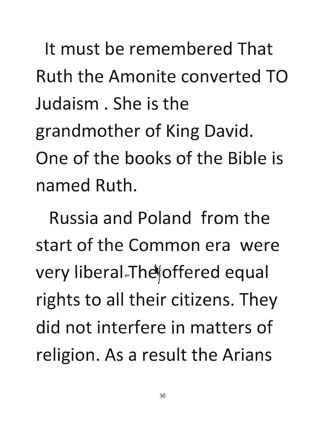It must be remembered That Ruth the Amonite converted TO Judaism. She is the grandmother of King David. One of the books of the Bible is named Ruth.

Russia and Poland from the start of the Common era were very liberal The offered equal rights to all their citizens. They did not interfere in matters of religion. As a result the Arians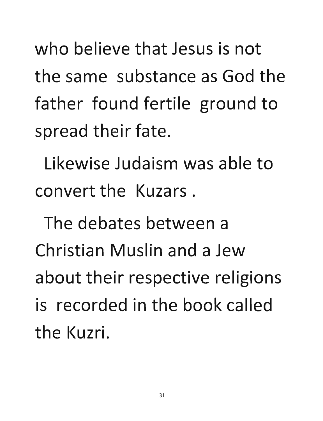who believe that Jesus is not the same substance as God the father found fertile ground to spread their fate.

Likewise Judaism was able to convert the Kuzars.

The debates between a Christian Muslin and a Jew about their respective religions is recorded in the book called the Kuzri.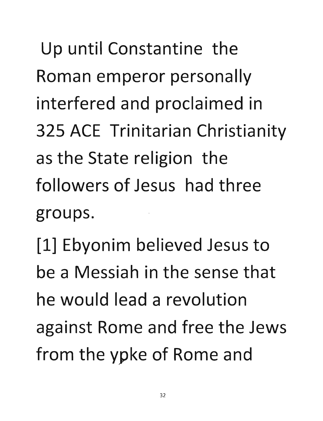**Up until Constantine the Roman emperor personally**  interfered and proclaimed in 325 ACE Trinitarian Christianity **as the State religion the followers of Jesus had three**  groups.

[1] Ebyonim befieved Jesus to **be a Messiah in the sense that he would lead a revolution against Rome and free the Jews**  from the ypke of Rome and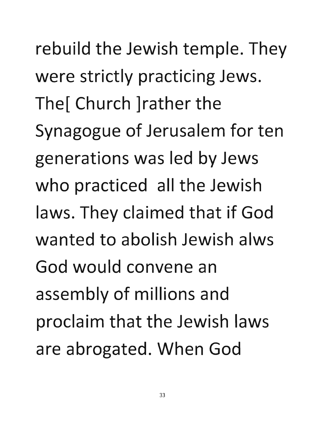rebuild the Jewish temple. They were strictly practicing Jews. The[ Church ]rather the Synagogue of Jerusalem for ten generations was led by Jews who practiced all the Jewish laws. They claimed that if God wanted to abolish Jewish alws God would convene an assembly of millions and proclaim that the Jewish laws are abrogated. When God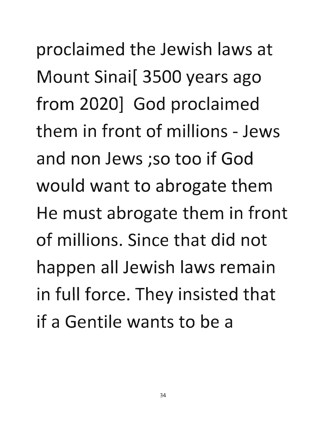**proclaimed the Jewish laws at**  Mount Sinai[ 3500 years ago from 2020] God proclaimed **them in front of millions - Jews and non Jews ;so too if God**  would want to abrogate them **He must abrogate them in front of millions. Since that did not happen all Jewish laws remain**  in full force. They insisted that **if a Gentile wants to be a**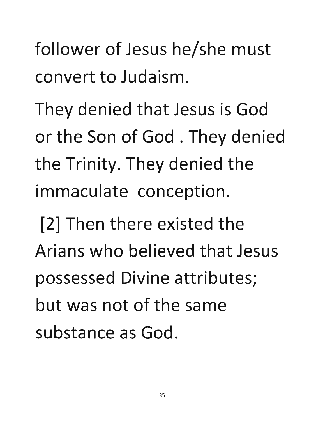follower of Jesus he/she must convert to Judaism.

They denied that Jesus is God or the Son of God. They denied the Trinity. They denied the immaculate conception.

[2] Then there existed the Arians who believed that Jesus possessed Divine attributes; but was not of the same substance as God.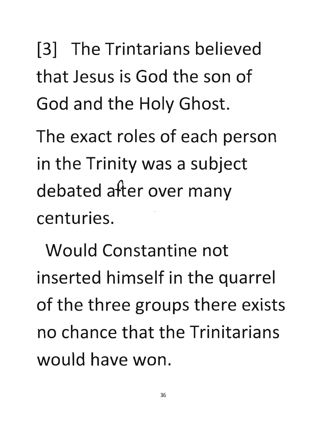[3] **The Trintarians believed that Jesus is God the son of**  God and the Holy Ghost.

**The exact roles of each person**  in the Trinity was a subject debated after over many centuries.

**Would Constantine not inserted himself in the quarrel**  of the three groups there exists **no chance that the Trinitarians would have won.**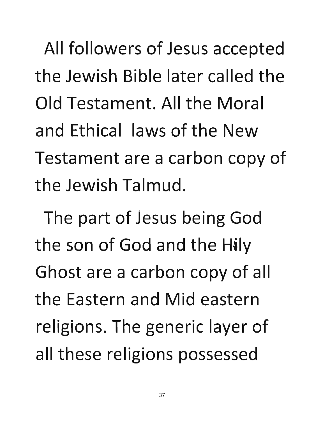All followers of Jesus accepted **the Jewish Bible later called the Old Testament. All the Moral and Ethical laws of the** New **Testament are a carbon copy of the Jewish Talmud.** 

The part of Jesus being God **the son of God and the Hily Ghost are a carbon copy of all the Eastern and Mid eastern**  religions. The generic layer of all these religions possessed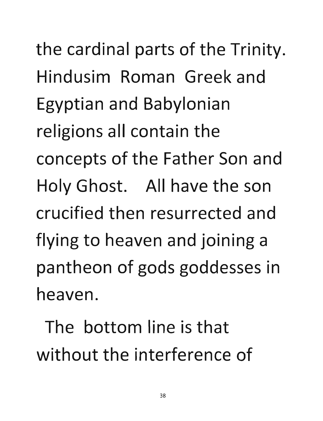the cardinal parts of the Trinity. Hindusim Roman Greek and Egyptian and Babylonian religions all contain the concepts of the Father Son and Holy Ghost. All have the son crucified then resurrected and flying to heaven and joining a pantheon of gods goddesses in heaven.

The bottom line is that without the interference of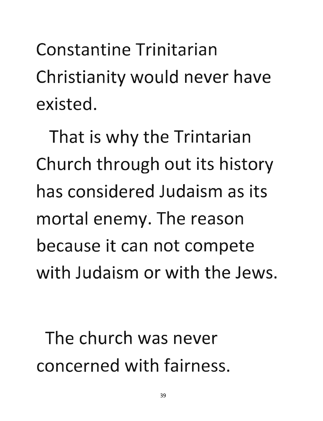**Constantine Trinitarian**  Christianity would never have **existed.** 

That is why the Trintarian Church through out its history **has considered Judaism as its**  mortal enemy. The reason **because it can not compete with Judaism or with the Jews.** 

**The church** was' **never concerned with fairness.**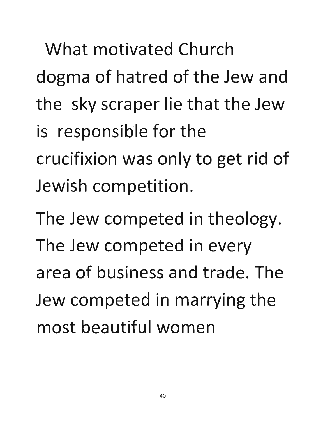**What motivated Church dogma of hatred of the Jew and the sky scraper lie that the Jew**  is responsible for the crucifixion was only to get rid of **Jewish competition.** 

The Jew competed in theology. **The Jew competed in every area of business and trade. The**  Jew competed in marrying the **most beautiful women**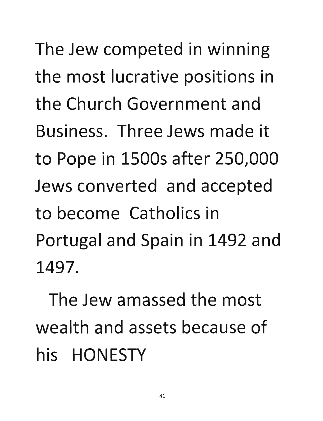The Jew competed in winning the most lucrative positions in the Church Government and Business. Three Jews made it to Pope in 1500s after 250,000 Jews converted and accepted to become Catholics in Portugal and Spain in 1492 and 1497.

The Jew amassed the most wealth and assets because of his HONESTY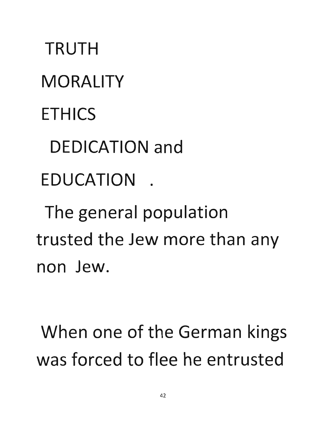TRUTH **MORALITY** ETHICS DEDICATION and **EDUCATION** The general population trusted the Jew more than any

non Jew.

When one of the German kings was forced to flee he entrusted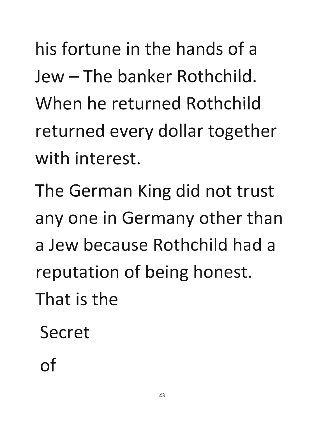his fortune in the hands of a Jew – The banker Rothchild. When he returned Rothchild returned every dollar together with interest.

The German King did not trust anyone in Germany other than a Jew because Rothchild had a reputation of being honest. That is the

Secret

of